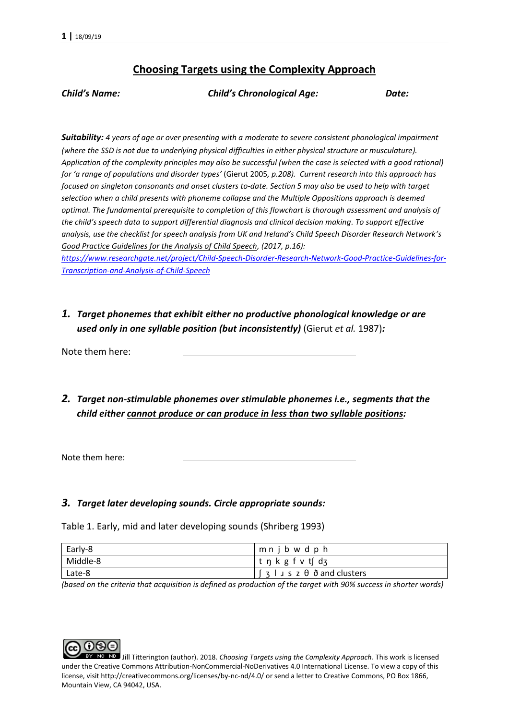## **Choosing Targets using the Complexity Approach**

*Child's Name: Child's Chronological Age: Date:*

*Suitability: 4 years of age or over presenting with a moderate to severe consistent phonological impairment (where the SSD is not due to underlying physical difficulties in either physical structure or musculature). Application of the complexity principles may also be successful (when the case is selected with a good rational) for 'a range of populations and disorder types'* (Gierut 2005*, p.208). Current research into this approach has focused on singleton consonants and onset clusters to-date. Section 5 may also be used to help with target selection when a child presents with phoneme collapse and the Multiple Oppositions approach is deemed optimal. The fundamental prerequisite to completion of this flowchart is thorough assessment and analysis of the child's speech data to support differential diagnosis and clinical decision making. To support effective analysis, use the checklist for speech analysis from UK and Ireland's Child Speech Disorder Research Network's Good Practice Guidelines for the Analysis of Child Speech, (2017, p.16):* 

*[https://www.researchgate.net/project/Child-Speech-Disorder-Research-Network-Good-Practice-Guidelines-for-](https://www.researchgate.net/project/Child-Speech-Disorder-Research-Network-Good-Practice-Guidelines-for-Transcription-and-Analysis-of-Child-Speech)[Transcription-and-Analysis-of-Child-Speech](https://www.researchgate.net/project/Child-Speech-Disorder-Research-Network-Good-Practice-Guidelines-for-Transcription-and-Analysis-of-Child-Speech)*

*1. Target phonemes that exhibit either no productive phonological knowledge or are used only in one syllable position (but inconsistently)* (Gierut *et al.* 1987)*:*

Note them here:

*2. Target non-stimulable phonemes over stimulable phonemes i.e., segments that the child either cannot produce or can produce in less than two syllable positions:*

Note them here:

#### *3. Target later developing sounds. Circle appropriate sounds:*

Table 1. Early, mid and later developing sounds (Shriberg 1993)

| Early-8  | mnjbw d p h                                                                            |
|----------|----------------------------------------------------------------------------------------|
| Middle-8 | t n k g f v t[ dʒ                                                                      |
| Late-8   | $\left[\begin{array}{c} 3 \\ 1 \end{array}\right]$ is z $\theta$ $\delta$ and clusters |

*(based on the criteria that acquisition is defined as production of the target with 90% success in shorter words)*

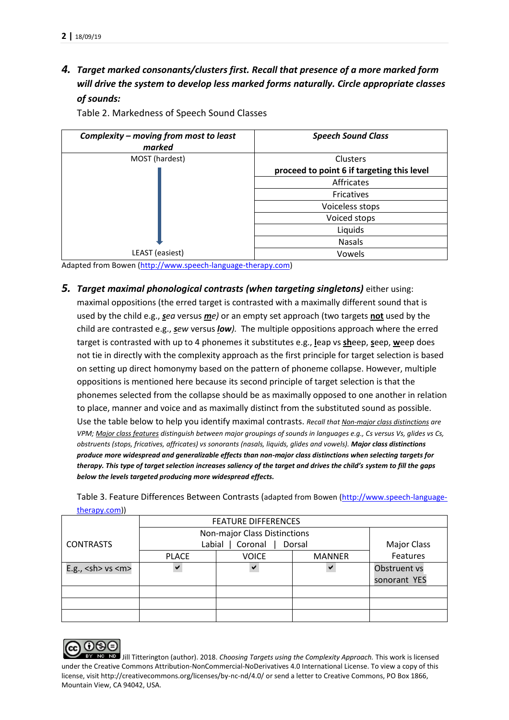*4. Target marked consonants/clusters first. Recall that presence of a more marked form will drive the system to develop less marked forms naturally. Circle appropriate classes of sounds:*

| Complexity - moving from most to least<br>marked | <b>Speech Sound Class</b>                  |  |  |
|--------------------------------------------------|--------------------------------------------|--|--|
| MOST (hardest)                                   | Clusters                                   |  |  |
|                                                  | proceed to point 6 if targeting this level |  |  |
|                                                  | Affricates                                 |  |  |
|                                                  | Fricatives                                 |  |  |
|                                                  | Voiceless stops                            |  |  |
|                                                  | Voiced stops                               |  |  |
|                                                  | Liquids                                    |  |  |
|                                                  | <b>Nasals</b>                              |  |  |
| LEAST (easiest)                                  | Vowels                                     |  |  |

Table 2. Markedness of Speech Sound Classes

Adapted from Bowen [\(http://www.speech-language-therapy.com\)](http://www.speech-language-therapy.com/)

*5. Target maximal phonological contrasts (when targeting singletons)* either using:

maximal oppositions (the erred target is contrasted with a maximally different sound that is used by the child e.g., *sea* versus *me)* or an empty set approach (two targets **not** used by the child are contrasted e.g., *sew* versus *low).* The multiple oppositions approach where the erred target is contrasted with up to 4 phonemes it substitutes e.g., **l**eap vs **sh**eep, **s**eep, **w**eep does not tie in directly with the complexity approach as the first principle for target selection is based on setting up direct homonymy based on the pattern of phoneme collapse. However, multiple oppositions is mentioned here because its second principle of target selection is that the phonemes selected from the collapse should be as maximally opposed to one another in relation to place, manner and voice and as maximally distinct from the substituted sound as possible. Use the table below to help you identify maximal contrasts. *Recall that Non-major class distinctions are VPM; Major class features distinguish between major groupings of sounds in languages e.g., Cs versus Vs, glides vs Cs, obstruents (stops, fricatives, affricates) vs sonorants (nasals, liquids, glides and vowels). Major class distinctions produce more widespread and generalizable effects than non-major class distinctions when selecting targets for therapy. This type of target selection increases saliency of the target and drives the child's system to fill the gaps below the levels targeted producing more widespread effects.*

Table 3. Feature Differences Between Contrasts (adapted from Bowen [\(http://www.speech-language](http://www.speech-language-therapy.com/)[therapy.com\)](http://www.speech-language-therapy.com/))

|                         | <b>FEATURE DIFFERENCES</b>   |              |               |                    |
|-------------------------|------------------------------|--------------|---------------|--------------------|
|                         | Non-major Class Distinctions |              |               |                    |
| <b>CONTRASTS</b>        | Coronal<br>Labial<br>Dorsal  |              |               | <b>Major Class</b> |
|                         | <b>PLACE</b>                 | <b>VOICE</b> | <b>MANNER</b> | Features           |
| E.g., $<$ sh> vs $<$ m> | $\checkmark$                 | ✔            | ✔             | Obstruent vs       |
|                         |                              |              |               | sonorant YES       |
|                         |                              |              |               |                    |
|                         |                              |              |               |                    |
|                         |                              |              |               |                    |

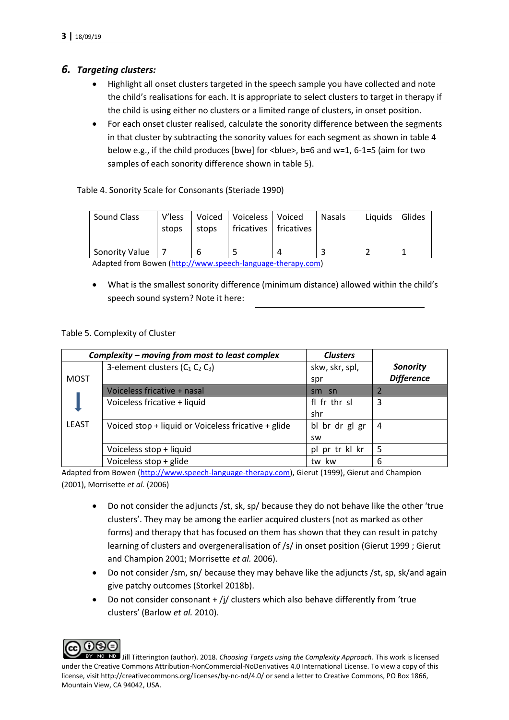### *6. Targeting clusters:*

- Highlight all onset clusters targeted in the speech sample you have collected and note the child's realisations for each. It is appropriate to select clusters to target in therapy if the child is using either no clusters or a limited range of clusters, in onset position.
- For each onset cluster realised, calculate the sonority difference between the segments in that cluster by subtracting the sonority values for each segment as shown in table 4 below e.g., if the child produces [bwʉ] for <br/>blue>, b=6 and w=1, 6-1=5 (aim for two samples of each sonority difference shown in table 5).

Table 4. Sonority Scale for Consonants (Steriade 1990)

| Sound Class           | V'less<br>stops | stops | Voiced   Voiceless   Voiced<br>fricatives   fricatives | <b>Nasals</b> | Liquids | Glides |
|-----------------------|-----------------|-------|--------------------------------------------------------|---------------|---------|--------|
| <b>Sonority Value</b> |                 |       |                                                        |               |         |        |

Adapted from Bowen [\(http://www.speech-language-therapy.com\)](http://www.speech-language-therapy.com/)

 What is the smallest sonority difference (minimum distance) allowed within the child's speech sound system? Note it here:

### Table 5. Complexity of Cluster

|              | Complexity - moving from most to least complex      | <b>Clusters</b> |                   |
|--------------|-----------------------------------------------------|-----------------|-------------------|
|              | 3-element clusters $(C_1 C_2 C_3)$                  | skw, skr, spl,  | <b>Sonority</b>   |
| <b>MOST</b>  |                                                     | spr             | <b>Difference</b> |
|              | Voiceless fricative + nasal                         | sm sn           |                   |
|              | Voiceless fricative + liquid                        | fl fr thr sl    | 3                 |
|              |                                                     | shr             |                   |
| <b>LEAST</b> | Voiced stop + liquid or Voiceless fricative + glide | bl br dr gl gr  | 4                 |
|              |                                                     | <b>SW</b>       |                   |
|              | Voiceless stop + liquid                             | pl pr tr kl kr  | 5                 |
|              | Voiceless stop + glide                              | tw kw           | 6                 |

Adapted from Bowen [\(http://www.speech-language-therapy.com\)](http://www.speech-language-therapy.com/), Gierut (1999), Gierut and Champion (2001), Morrisette *et al.* (2006)

- Do not consider the adjuncts /st, sk, sp/ because they do not behave like the other 'true clusters'. They may be among the earlier acquired clusters (not as marked as other forms) and therapy that has focused on them has shown that they can result in patchy learning of clusters and overgeneralisation of /s/ in onset position (Gierut 1999 ; Gierut and Champion 2001; Morrisette *et al.* 2006).
- Do not consider /sm, sn/ because they may behave like the adjuncts /st, sp, sk/and again give patchy outcomes (Storkel 2018b).
- Do not consider consonant + /j/ clusters which also behave differently from 'true clusters' (Barlow *et al.* 2010).

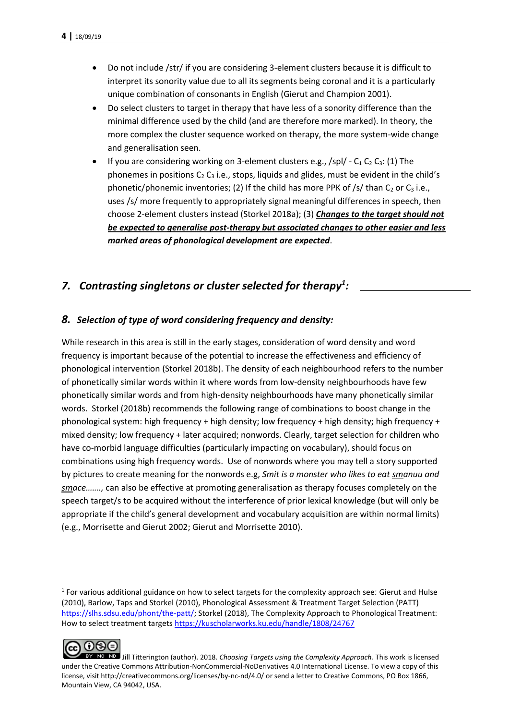- Do not include /str/ if you are considering 3-element clusters because it is difficult to interpret its sonority value due to all its segments being coronal and it is a particularly unique combination of consonants in English (Gierut and Champion 2001).
- Do select clusters to target in therapy that have less of a sonority difference than the minimal difference used by the child (and are therefore more marked). In theory, the more complex the cluster sequence worked on therapy, the more system-wide change and generalisation seen.
- If you are considering working on 3-element clusters e.g.,  $\frac{\sqrt{5}}{1}$  C<sub>1</sub> C<sub>2</sub> C<sub>3</sub>: (1) The phonemes in positions  $C_2$  C<sub>3</sub> i.e., stops, liquids and glides, must be evident in the child's phonetic/phonemic inventories; (2) If the child has more PPK of /s/ than  $C_2$  or  $C_3$  i.e., uses /s/ more frequently to appropriately signal meaningful differences in speech, then choose 2-element clusters instead (Storkel 2018a); (3) *Changes to the target should not be expected to generalise post-therapy but associated changes to other easier and less marked areas of phonological development are expected*.

# *7. Contrasting singletons or cluster selected for therapy<sup>1</sup> :*

## *8. Selection of type of word considering frequency and density:*

While research in this area is still in the early stages, consideration of word density and word frequency is important because of the potential to increase the effectiveness and efficiency of phonological intervention (Storkel 2018b). The density of each neighbourhood refers to the number of phonetically similar words within it where words from low-density neighbourhoods have few phonetically similar words and from high-density neighbourhoods have many phonetically similar words. Storkel (2018b) recommends the following range of combinations to boost change in the phonological system: high frequency + high density; low frequency + high density; high frequency + mixed density; low frequency + later acquired; nonwords. Clearly, target selection for children who have co-morbid language difficulties (particularly impacting on vocabulary), should focus on combinations using high frequency words. Use of nonwords where you may tell a story supported by pictures to create meaning for the nonwords e.g, *Smit is a monster who likes to eat smanuu and smace…….,* can also be effective at promoting generalisation as therapy focuses completely on the speech target/s to be acquired without the interference of prior lexical knowledge (but will only be appropriate if the child's general development and vocabulary acquisition are within normal limits) (e.g., Morrisette and Gierut 2002; Gierut and Morrisette 2010).

 $1$  For various additional guidance on how to select targets for the complexity approach see: Gierut and Hulse (2010), Barlow, Taps and Storkel (2010), Phonological Assessment & Treatment Target Selection (PATT) [https://slhs.sdsu.edu/phont/the-patt/;](https://slhs.sdsu.edu/phont/the-patt/) Storkel (2018), The Complexity Approach to Phonological Treatmentː How to select treatment target[s https://kuscholarworks.ku.edu/handle/1808/24767](https://kuscholarworks.ku.edu/handle/1808/24767)



**.** 

Jill Titterington (author). 2018. *Choosing Targets using the Complexity Approach.* This work is licensed under the Creative Commons Attribution-NonCommercial-NoDerivatives 4.0 International License. To view a copy of this license, visit http://creativecommons.org/licenses/by-nc-nd/4.0/ or send a letter to Creative Commons, PO Box 1866, Mountain View, CA 94042, USA.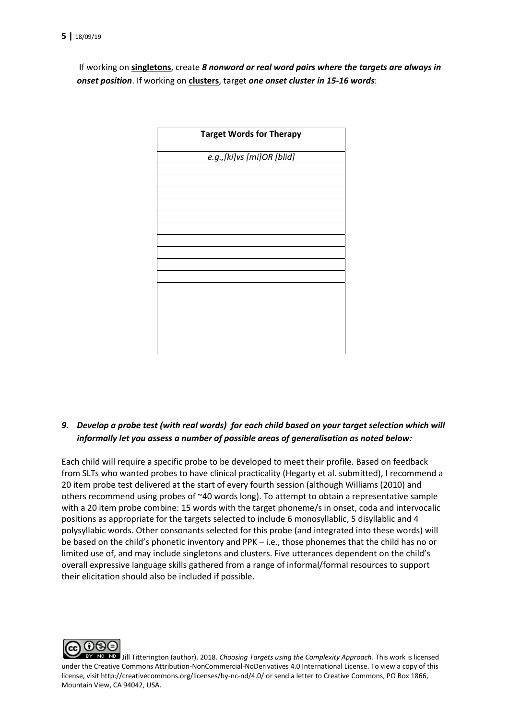If working on **singletons**, create *8 nonword or real word pairs where the targets are always in onset position*. If working on **clusters**, target *one onset cluster in 15-16 words*:



### *9. Develop a probe test (with real words) for each child based on your target selection which will informally let you assess a number of possible areas of generalisation as noted below:*

Each child will require a specific probe to be developed to meet their profile. Based on feedback from SLTs who wanted probes to have clinical practicality (Hegarty et al. submitted), I recommend a 20 item probe test delivered at the start of every fourth session (although Williams (2010) and others recommend using probes of  $\sim$ 40 words long). To attempt to obtain a representative sample with a 20 item probe combine: 15 words with the target phoneme/s in onset, coda and intervocalic positions as appropriate for the targets selected to include 6 monosyllablic, 5 disyllablic and 4 polysyllabic words. Other consonants selected for this probe (and integrated into these words) will be based on the child's phonetic inventory and PPK – i.e., those phonemes that the child has no or limited use of, and may include singletons and clusters. Five utterances dependent on the child's overall expressive language skills gathered from a range of informal/formal resources to support their elicitation should also be included if possible.

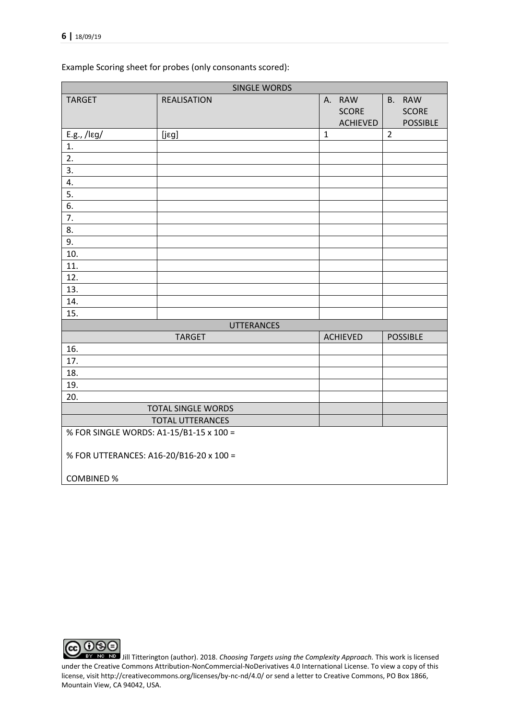Example Scoring sheet for probes (only consonants scored):

| <b>TARGET</b>                           | <b>REALISATION</b>        | A. RAW          | B. RAW          |
|-----------------------------------------|---------------------------|-----------------|-----------------|
|                                         |                           | <b>SCORE</b>    | <b>SCORE</b>    |
|                                         |                           | <b>ACHIEVED</b> | <b>POSSIBLE</b> |
| $E.g., / \leq g/$                       | $[$ j $\epsilon$ g]       | $\mathbf{1}$    | $\overline{2}$  |
| 1.                                      |                           |                 |                 |
| 2.                                      |                           |                 |                 |
| 3.                                      |                           |                 |                 |
| 4.                                      |                           |                 |                 |
| 5.                                      |                           |                 |                 |
| 6.                                      |                           |                 |                 |
| 7.                                      |                           |                 |                 |
| 8.                                      |                           |                 |                 |
| 9.                                      |                           |                 |                 |
| 10.                                     |                           |                 |                 |
| 11.                                     |                           |                 |                 |
| 12.                                     |                           |                 |                 |
| 13.                                     |                           |                 |                 |
| 14.                                     |                           |                 |                 |
| 15.                                     |                           |                 |                 |
|                                         | <b>UTTERANCES</b>         |                 |                 |
|                                         | <b>TARGET</b>             | <b>ACHIEVED</b> | <b>POSSIBLE</b> |
| 16.                                     |                           |                 |                 |
| 17.<br>18.                              |                           |                 |                 |
| 19.                                     |                           |                 |                 |
| 20.                                     |                           |                 |                 |
|                                         | <b>TOTAL SINGLE WORDS</b> |                 |                 |
|                                         | <b>TOTAL UTTERANCES</b>   |                 |                 |
| % FOR SINGLE WORDS: A1-15/B1-15 x 100 = |                           |                 |                 |
|                                         |                           |                 |                 |
| % FOR UTTERANCES: A16-20/B16-20 x 100 = |                           |                 |                 |
| <b>COMBINED %</b>                       |                           |                 |                 |

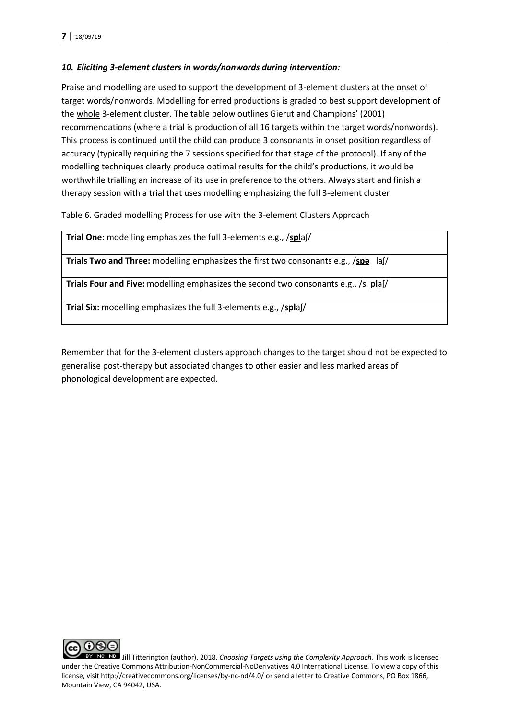### *10. Eliciting 3-element clusters in words/nonwords during intervention:*

Praise and modelling are used to support the development of 3-element clusters at the onset of target words/nonwords. Modelling for erred productions is graded to best support development of the whole 3-element cluster. The table below outlines Gierut and Champions' (2001) recommendations (where a trial is production of all 16 targets within the target words/nonwords). This process is continued until the child can produce 3 consonants in onset position regardless of accuracy (typically requiring the 7 sessions specified for that stage of the protocol). If any of the modelling techniques clearly produce optimal results for the child's productions, it would be worthwhile trialling an increase of its use in preference to the others. Always start and finish a therapy session with a trial that uses modelling emphasizing the full 3-element cluster.

Table 6. Graded modelling Process for use with the 3-element Clusters Approach

**Trial One:** modelling emphasizes the full 3-elements e.g., /**spl**aʃ/

**Trials Two and Three:** modelling emphasizes the first two consonants e.g., /**spə** laʃ/

**Trials Four and Five:** modelling emphasizes the second two consonants e.g., /s **pl**aʃ/

**Trial Six:** modelling emphasizes the full 3-elements e.g., /**spl**aʃ/

Remember that for the 3-element clusters approach changes to the target should not be expected to generalise post-therapy but associated changes to other easier and less marked areas of phonological development are expected.

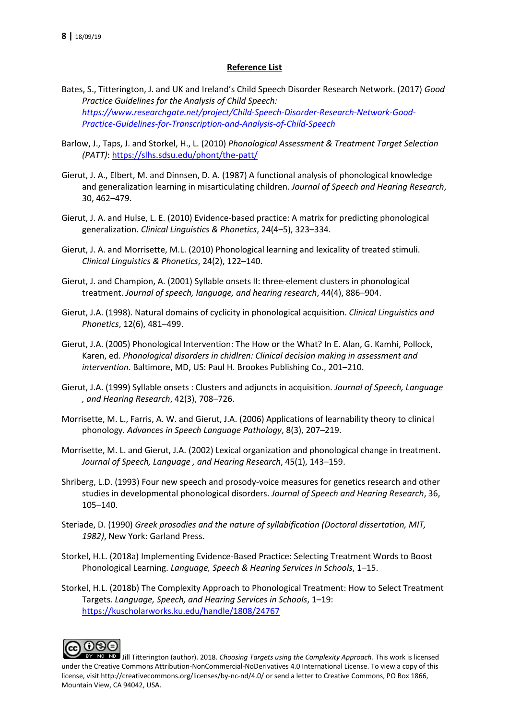#### **Reference List**

- Bates, S., Titterington, J. and UK and Ireland's Child Speech Disorder Research Network. (2017) *Good Practice Guidelines for the Analysis of Child Speech: [https://www.researchgate.net/project/Child-Speech-Disorder-Research-Network-Good-](https://www.researchgate.net/project/Child-Speech-Disorder-Research-Network-Good-Practice-Guidelines-for-Transcription-and-Analysis-of-Child-Speech)[Practice-Guidelines-for-Transcription-and-Analysis-of-Child-Speech](https://www.researchgate.net/project/Child-Speech-Disorder-Research-Network-Good-Practice-Guidelines-for-Transcription-and-Analysis-of-Child-Speech)*
- Barlow, J., Taps, J. and Storkel, H., L. (2010) *Phonological Assessment & Treatment Target Selection (PATT)*:<https://slhs.sdsu.edu/phont/the-patt/>
- Gierut, J. A., Elbert, M. and Dinnsen, D. A. (1987) A functional analysis of phonological knowledge and generalization learning in misarticulating children. *Journal of Speech and Hearing Research*, 30, 462–479.
- Gierut, J. A. and Hulse, L. E. (2010) Evidence-based practice: A matrix for predicting phonological generalization. *Clinical Linguistics & Phonetics*, 24(4–5), 323–334.
- Gierut, J. A. and Morrisette, M.L. (2010) Phonological learning and lexicality of treated stimuli. *Clinical Linguistics & Phonetics*, 24(2), 122–140.
- Gierut, J. and Champion, A. (2001) Syllable onsets II: three-element clusters in phonological treatment. *Journal of speech, language, and hearing research*, 44(4), 886–904.
- Gierut, J.A. (1998). Natural domains of cyclicity in phonological acquisition. *Clinical Linguistics and Phonetics*, 12(6), 481–499.
- Gierut, J.A. (2005) Phonological Intervention: The How or the What? In E. Alan, G. Kamhi, Pollock, Karen, ed. *Phonological disorders in chidlren: Clinical decision making in assessment and intervention*. Baltimore, MD, US: Paul H. Brookes Publishing Co., 201–210.
- Gierut, J.A. (1999) Syllable onsets : Clusters and adjuncts in acquisition. *Journal of Speech, Language , and Hearing Research*, 42(3), 708–726.
- Morrisette, M. L., Farris, A. W. and Gierut, J.A. (2006) Applications of learnability theory to clinical phonology. *Advances in Speech Language Pathology*, 8(3), 207–219.
- Morrisette, M. L. and Gierut, J.A. (2002) Lexical organization and phonological change in treatment. *Journal of Speech, Language , and Hearing Research*, 45(1), 143–159.
- Shriberg, L.D. (1993) Four new speech and prosody-voice measures for genetics research and other studies in developmental phonological disorders. *Journal of Speech and Hearing Research*, 36, 105–140.
- Steriade, D. (1990) *Greek prosodies and the nature of syllabification (Doctoral dissertation, MIT, 1982)*, New York: Garland Press.
- Storkel, H.L. (2018a) Implementing Evidence-Based Practice: Selecting Treatment Words to Boost Phonological Learning. *Language, Speech & Hearing Services in Schools*, 1–15.
- Storkel, H.L. (2018b) The Complexity Approach to Phonological Treatment: How to Select Treatment Targets. *Language, Speech, and Hearing Services in Schools*, 1–19: <https://kuscholarworks.ku.edu/handle/1808/24767>